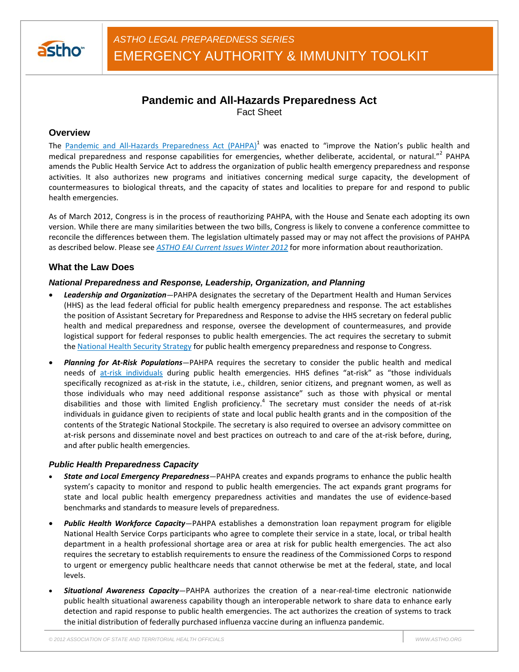

# **Pandemic and All-Hazards Preparedness Act** Fact Sheet

# **Overview**

The Pandemic and All-Hazards Preparedness Act (PAHPA)<sup>1</sup> was enacted to "improve the Nation's public health and medical preparedness and response capabilities for emergencies, whether deliberate, accidental, or natural."<sup>2</sup> PAHPA amends the Public Health Service Act to address the organization of public health emergency preparedness and response activities. It also authorizes new programs and initiatives concerning medical surge capacity, the development of countermeasures to biological threats, and the capacity of states and localities to prepare for and respond to public health emergencies.

As of March 2012, Congress is in the process of reauthorizing PAHPA, with the House and Senate each adopting its own version. While there are many similarities between the two bills, Congress is likely to convene a conference committee to reconcile the differences between them. The legislation ultimately passed may or may not affect the provisions of PAHPA as described below. Please see *ASTHO EAI Current Issues Winter 2012* for more information about reauthorization.

# **What the Law Does**

#### *National Preparedness and Response, Leadership, Organization, and Planning*

- *Leadership and Organization—*PAHPA designates the secretary of the Department Health and Human Services (HHS) as the lead federal official for public health emergency preparedness and response. The act establishes the position of Assistant Secretary for Preparedness and Response to advise the HHS secretary on federal public health and medical preparedness and response, oversee the development of countermeasures, and provide logistical support for federal responses to public health emergencies. The act requires the secretary to submit the National Health Security Strategy for public health emergency preparedness and response to Congress.
- *Planning for At-Risk Populations—*PAHPA requires the secretary to consider the public health and medical needs of at-risk individuals during public health emergencies. HHS defines "at-risk" as "those individuals specifically recognized as at-risk in the statute, i.e., children, senior citizens, and pregnant women, as well as those individuals who may need additional response assistance" such as those with physical or mental disabilities and those with limited English proficiency.<sup>4</sup> The secretary must consider the needs of at-risk individuals in guidance given to recipients of state and local public health grants and in the composition of the contents of the Strategic National Stockpile. The secretary is also required to oversee an advisory committee on at-risk persons and disseminate novel and best practices on outreach to and care of the at-risk before, during, and after public health emergencies.

#### *Public Health Preparedness Capacity*

- *State and Local Emergency Preparedness—*PAHPA creates and expands programs to enhance the public health system's capacity to monitor and respond to public health emergencies. The act expands grant programs for state and local public health emergency preparedness activities and mandates the use of evidence-based benchmarks and standards to measure levels of preparedness.
- *Public Health Workforce Capacity—*PAHPA establishes a demonstration loan repayment program for eligible National Health Service Corps participants who agree to complete their service in a state, local, or tribal health department in a health professional shortage area or area at risk for public health emergencies. The act also requires the secretary to establish requirements to ensure the readiness of the Commissioned Corps to respond to urgent or emergency public healthcare needs that cannot otherwise be met at the federal, state, and local levels.
- *Situational Awareness Capacity*—PAHPA authorizes the creation of a near-real-time electronic nationwide public health situational awareness capability though an interoperable network to share data to enhance early detection and rapid response to public health emergencies. The act authorizes the creation of systems to track the initial distribution of federally purchased influenza vaccine during an influenza pandemic.